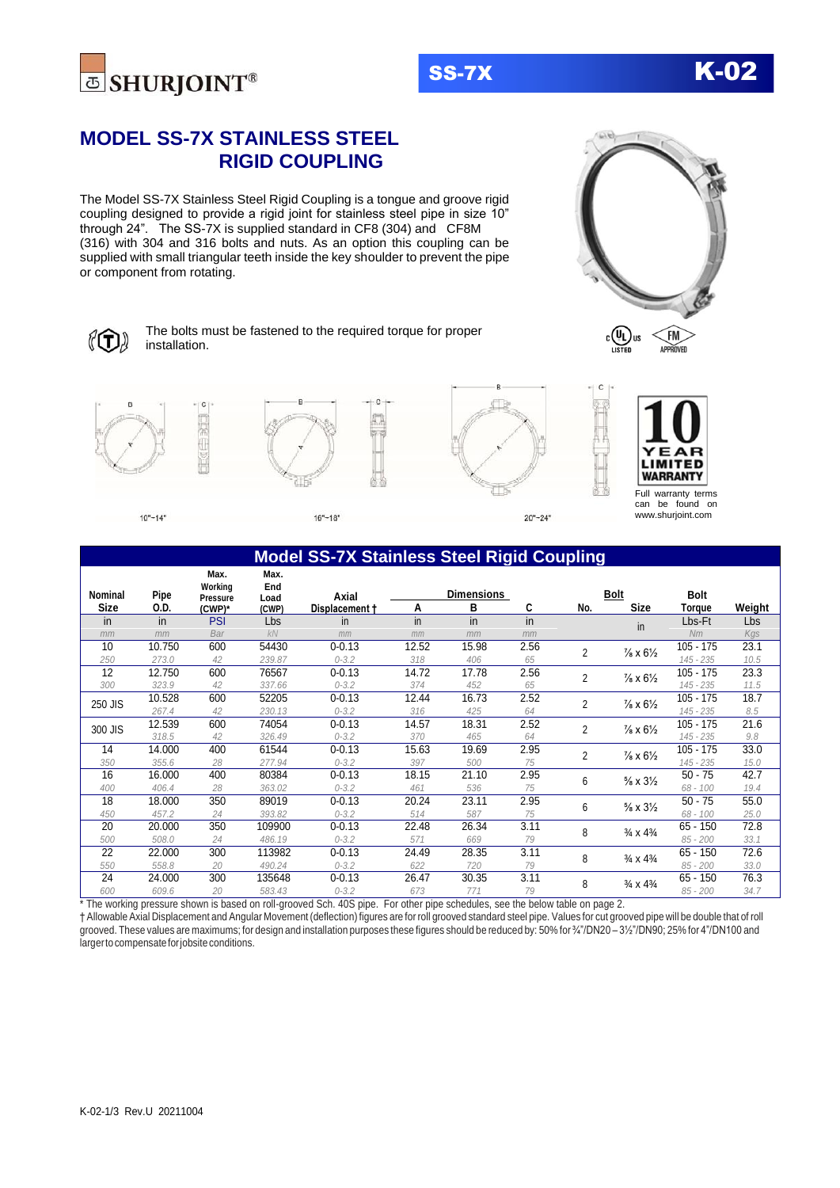



# **MODEL SS-7X STAINLESS STEEL RIGID COUPLING**

The Model SS-7X Stainless Steel Rigid Coupling is a tongue and groove rigid coupling designed to provide a rigid joint for stainless steel pipe in size 10" through 24". The SS-7X is supplied standard in CF8 (304) and CF8M (316) with 304 and 316 bolts and nuts. As an option this coupling can be supplied with small triangular teeth inside the key shoulder to prevent the pipe or component from rotating.



The bolts must be fastened to the required torque for proper installation.



 $10" - 14"$ 

 $16" - 18"$ 



|             |        | Max.<br>Working | Max.<br>End |                |       |                   |      |                |                                   |             |        |
|-------------|--------|-----------------|-------------|----------------|-------|-------------------|------|----------------|-----------------------------------|-------------|--------|
| Nominal     | Pipe   | <b>Pressure</b> | Load        | Axial          |       | <b>Dimensions</b> |      |                | <b>Bolt</b>                       | Bolt        |        |
| <b>Size</b> | 0.D.   | (CWP)*          | (CWP)       | Displacement + | Α     | в                 | C    | No.            | <b>Size</b>                       | Torque      | Weight |
| in          | in     | <b>PSI</b>      | Lbs         | in             | in    | in                | in   |                | in                                | Lbs-Ft      | Lbs    |
| mm          | mm     | Bar             | <b>kN</b>   | mm             | mm    | mm                | mm   |                |                                   | Nm          | Kgs    |
| 10          | 10.750 | 600             | 54430       | $0 - 0.13$     | 12.52 | 15.98             | 2.56 | $\overline{2}$ | $\frac{7}{8} \times 6\frac{1}{2}$ | $105 - 175$ | 23.1   |
| 250         | 273.0  | 42              | 239.87      | $0 - 3.2$      | 318   | 406               | 65   |                |                                   | 145 - 235   | 10.5   |
| 12          | 12.750 | 600             | 76567       | $0 - 0.13$     | 14.72 | 17.78             | 2.56 | $\overline{2}$ | $\frac{7}{8} \times 6\frac{1}{2}$ | $105 - 175$ | 23.3   |
| 300         | 323.9  | 42              | 337.66      | $0 - 3.2$      | 374   | 452               | 65   |                |                                   | 145 - 235   | 11.5   |
| 250 JIS     | 10.528 | 600             | 52205       | $0 - 0.13$     | 12.44 | 16.73             | 2.52 | 2              | $\frac{7}{8} \times 6\frac{1}{2}$ | $105 - 175$ | 18.7   |
|             | 267.4  | 42              | 230.13      | $0 - 3.2$      | 316   | 425               | 64   |                |                                   | 145 - 235   | 8.5    |
|             | 12.539 | 600             | 74054       | $0 - 0.13$     | 14.57 | 18.31             | 2.52 |                | $\frac{7}{8} \times 6\frac{1}{2}$ | $105 - 175$ | 21.6   |
| 300 JIS     | 318.5  | 42              | 326.49      | $0 - 3.2$      | 370   | 465               | 64   | $\overline{2}$ |                                   | 145 - 235   | 9.8    |
| 14          | 14.000 | 400             | 61544       | $0 - 0.13$     | 15.63 | 19.69             | 2.95 | $\overline{2}$ | $\frac{7}{8} \times 6\frac{1}{2}$ | $105 - 175$ | 33.0   |
| 350         | 355.6  | 28              | 277.94      | $0 - 3.2$      | 397   | 500               | 75   |                |                                   | 145 - 235   | 15.0   |
| 16          | 16.000 | 400             | 80384       | $0 - 0.13$     | 18.15 | 21.10             | 2.95 | 6              | $\frac{5}{8}$ x $3\frac{1}{2}$    | $50 - 75$   | 42.7   |
| 400         | 406.4  | 28              | 363.02      | $0 - 3.2$      | 461   | 536               | 75   |                |                                   | 68 - 100    | 19.4   |
| 18          | 18.000 | 350             | 89019       | $0 - 0.13$     | 20.24 | 23.11             | 2.95 | 6              | $\frac{5}{8}$ x $3\frac{1}{2}$    | $50 - 75$   | 55.0   |
| 450         | 457.2  | 24              | 393.82      | $0 - 3.2$      | 514   | 587               | 75   |                |                                   | 68 - 100    | 25.0   |
| 20          | 20.000 | 350             | 109900      | $0 - 0.13$     | 22.48 | 26.34             | 3.11 | 8              | $\frac{3}{4} \times \frac{43}{4}$ | $65 - 150$  | 72.8   |
| 500         | 508.0  | 24              | 486.19      | $0 - 3.2$      | 571   | 669               | 79   |                |                                   | $85 - 200$  | 33.1   |
| 22          | 22.000 | 300             | 113982      | $0 - 0.13$     | 24.49 | 28.35             | 3.11 | 8              | $\frac{3}{4} \times \frac{43}{4}$ | $65 - 150$  | 72.6   |
| 550         | 558.8  | 20              | 490.24      | $0 - 3.2$      | 622   | 720               | 79   |                |                                   | $85 - 200$  | 33.0   |
| 24          | 24.000 | 300             | 135648      | $0 - 0.13$     | 26.47 | 30.35             | 3.11 | 8              | $\frac{3}{4} \times 4\frac{3}{4}$ | $65 - 150$  | 76.3   |
| 600         | 609.6  | 20              | 583.43      | $0 - 3.2$      | 673   | 771               | 79   |                |                                   | $85 - 200$  | 34.7   |

\* The working pressure shown is based on roll-grooved Sch. 40S pipe. For other pipe schedules, see the below table on page 2.

† Allowable Axial Displacement and Angular Movement (deflection) figures are for roll grooved standard steel pipe. Values for cut grooved pipe will be double that of roll grooved. These values are maximums; for design and installation purposes these figures should be reduced by: 50% for ¾"/DN20 – 3½"/DN90; 25% for 4"/DN100 and larger to compensate for jobsite conditions.

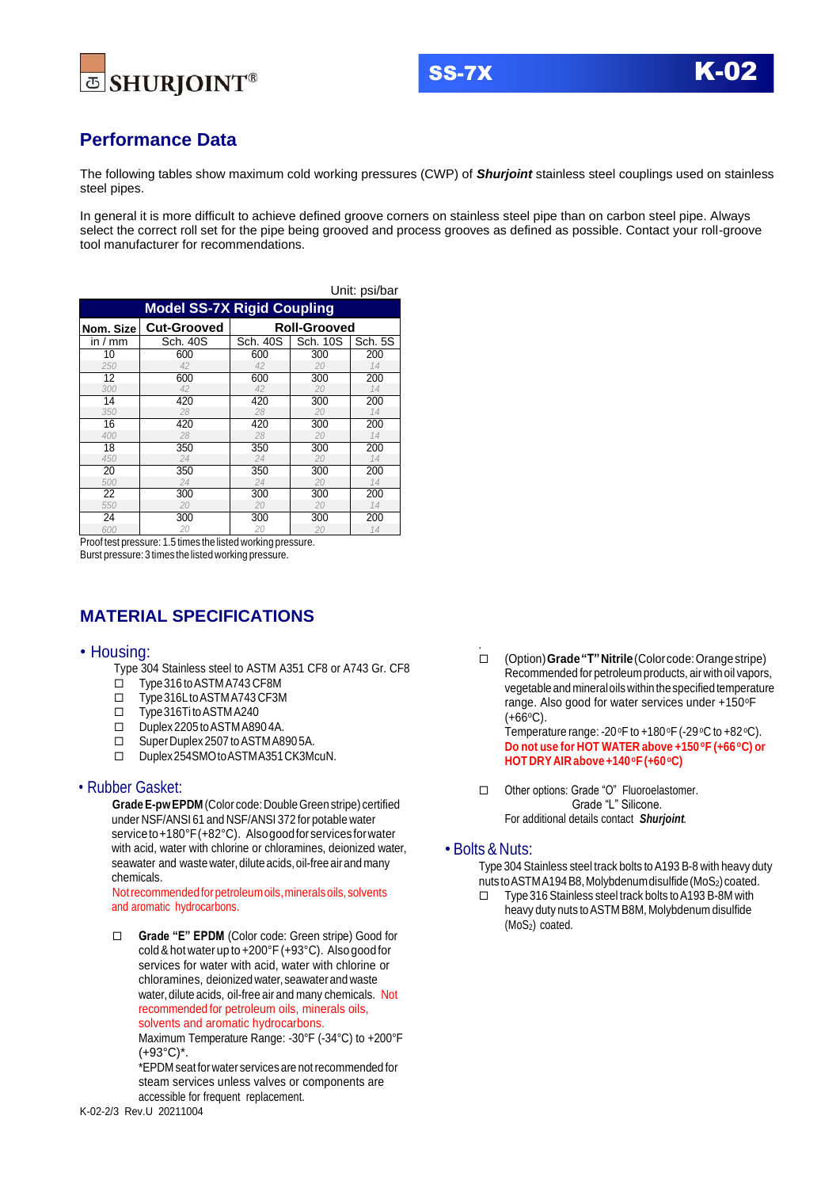





# **Performance Data**

The following tables show maximum cold working pressures (CWP) of *Shurjoint* stainless steel couplings used on stainless steel pipes.

In general it is more difficult to achieve defined groove corners on stainless steel pipe than on carbon steel pipe. Always select the correct roll set for the pipe being grooved and process grooves as defined as possible. Contact your roll-groove tool manufacturer for recommendations.

| Unit: psi/bar                     |                                           |          |          |         |  |  |  |  |  |  |  |  |
|-----------------------------------|-------------------------------------------|----------|----------|---------|--|--|--|--|--|--|--|--|
| <b>Model SS-7X Rigid Coupling</b> |                                           |          |          |         |  |  |  |  |  |  |  |  |
| Nom. Size                         | <b>Cut-Grooved</b><br><b>Roll-Grooved</b> |          |          |         |  |  |  |  |  |  |  |  |
| in $/$ mm                         | Sch. 40S                                  | Sch. 40S | Sch. 10S | Sch. 5S |  |  |  |  |  |  |  |  |
| 10                                | 600                                       | 600      | 300      | 200     |  |  |  |  |  |  |  |  |
| 250                               | 42                                        | 42       | 20       | 14      |  |  |  |  |  |  |  |  |
| 12                                | 600                                       | 600      | 300      | 200     |  |  |  |  |  |  |  |  |
| 300                               | 42                                        | 42       | 20       | 14      |  |  |  |  |  |  |  |  |
| 14                                | 420                                       | 420      | 300      | 200     |  |  |  |  |  |  |  |  |
| 350                               | 28                                        | 28       | 20       | 14      |  |  |  |  |  |  |  |  |
| 16                                | 420                                       | 420      | 300      | 200     |  |  |  |  |  |  |  |  |
| 400                               | 28                                        | 28       | 20       | 14      |  |  |  |  |  |  |  |  |
| 18                                | 350                                       | 350      | 300      | 200     |  |  |  |  |  |  |  |  |
| 450                               | 24                                        | 24       | 20       | 14      |  |  |  |  |  |  |  |  |
| 20                                | 350                                       | 350      | 300      | 200     |  |  |  |  |  |  |  |  |
| 500                               | 24                                        | 24       | 20       | 14      |  |  |  |  |  |  |  |  |
| 22                                | 300                                       | 300      | 300      | 200     |  |  |  |  |  |  |  |  |
| 550                               | 20                                        | 20       | 20       | 14      |  |  |  |  |  |  |  |  |
| 24                                | 300                                       | 300      | 300      | 200     |  |  |  |  |  |  |  |  |
| 600                               | 20                                        | 20       | 20       | 14      |  |  |  |  |  |  |  |  |

Proof test pressure: 1.5 times the listed working pressure. Burst pressure: 3 times the listed working pressure.

### **MATERIAL SPECIFICATIONS**

#### • Housing:

Type 304 Stainless steel to ASTM A351 CF8 or A743 Gr. CF8

- Type316 toASTMA743 CF8M
- Type316LtoASTMA743 CF3M
- Type316Ti toASTMA240
- Duplex 2205 to ASTM A8904A.
- □ Super Duplex 2507 to ASTM A890 5A.
- Duplex254SMOtoASTMA351CK3McuN.

#### • Rubber Gasket:

**GradeE-pwEPDM** (Color code:DoubleGreenstripe) certified under NSF/ANSI 61 and NSF/ANSI 372 for potable water service to +180°F(+82°C). Also good for services for water with acid, water with chlorine or chloramines, deionized water, seawater and waste water, dilute acids, oil-free air and many chemicals.

Not recommended for petroleum oils, minerals oils, solvents and aromatic hydrocarbons.

 **Grade "E" EPDM** (Color code: Green stripe) Good for cold&hot water up to+200°F(+93°C). Also good for services for water with acid, water with chlorine or chloramines, deionized water, seawater and waste water, dilute acids, oil-free air and many chemicals. Not recommended for petroleum oils, minerals oils, solvents and aromatic hydrocarbons.

Maximum Temperature Range: -30°F (-34°C) to +200°F (+93°C)\*.

\*EPDM seat for water services are notrecommended for steam services unless valves or components are accessible for frequent replacement.

 (Option)**Grade"T"Nitrile**(Color code:Orangestripe) Recommended for petroleum products, air with oil vapors, vegetable and mineraloilswithin thespecified temperature range. Also good for water services under +150°F  $(+66°C)$ .

Temperature range: -20 $\textdegree$ F to +180 $\textdegree$ F (-29 $\textdegree$ C to +82 $\textdegree$ C). **Do not use for HOT WATER above +150 <sup>o</sup>F (+66 <sup>o</sup>C) or HOT DRYAIR above +140 <sup>o</sup>F (+60 <sup>o</sup>C)**

 Other options: Grade "O" Fluoroelastomer. Grade "L" Silicone. For additional details contact *Shurjoint.*

### • Bolts& Nuts:

.

Type 304 Stainless steel track bolts to A193 B-8 with heavy duty nuts to ASTM A194 B8, Molybdenum disulfide (MoS<sub>2</sub>) coated.

 $\square$  Type 316 Stainless steel track bolts to A193 B-8M with heavy duty nuts to ASTM B8M, Molybdenum disulfide (MoS<sub>2</sub>) coated.